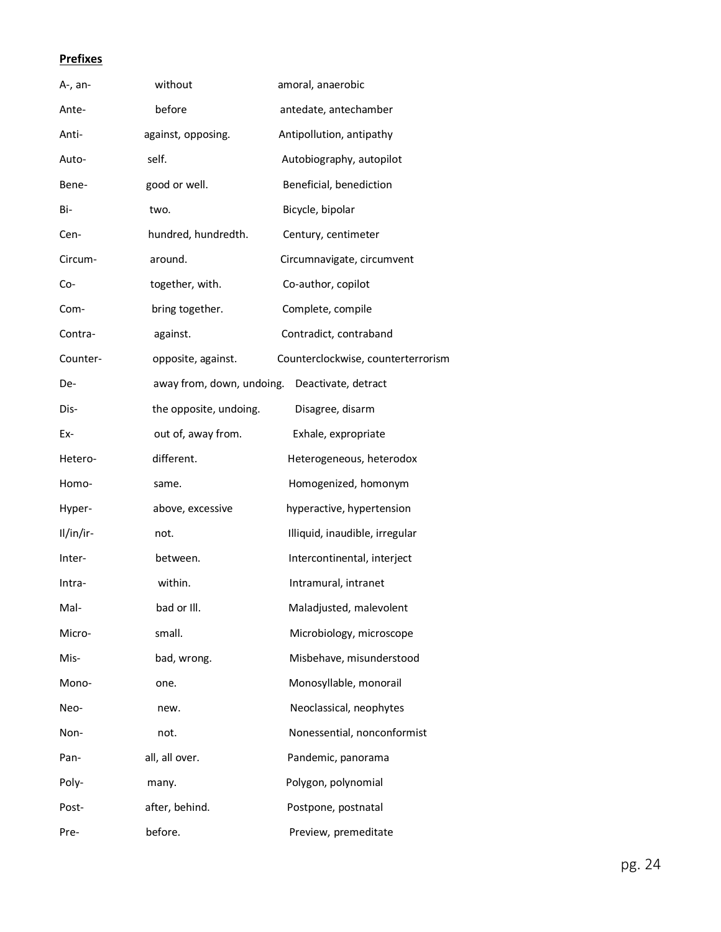## **Prefixes**

| A-, an-   | without                   | amoral, anaerobic                  |
|-----------|---------------------------|------------------------------------|
| Ante-     | before                    | antedate, antechamber              |
| Anti-     | against, opposing.        | Antipollution, antipathy           |
| Auto-     | self.                     | Autobiography, autopilot           |
| Bene-     | good or well.             | Beneficial, benediction            |
| Bi-       | two.                      | Bicycle, bipolar                   |
| Cen-      | hundred, hundredth.       | Century, centimeter                |
| Circum-   | around.                   | Circumnavigate, circumvent         |
| Co-       | together, with.           | Co-author, copilot                 |
| Com-      | bring together.           | Complete, compile                  |
| Contra-   | against.                  | Contradict, contraband             |
| Counter-  | opposite, against.        | Counterclockwise, counterterrorism |
| De-       | away from, down, undoing. | Deactivate, detract                |
| Dis-      | the opposite, undoing.    | Disagree, disarm                   |
| Ex-       | out of, away from.        | Exhale, expropriate                |
| Hetero-   | different.                | Heterogeneous, heterodox           |
| Homo-     | same.                     | Homogenized, homonym               |
| Hyper-    | above, excessive          | hyperactive, hypertension          |
| Il/in/ir- | not.                      | Illiquid, inaudible, irregular     |
| Inter-    | between.                  | Intercontinental, interject        |
| Intra-    | within.                   | Intramural, intranet               |
| Mal-      | bad or III.               | Maladjusted, malevolent            |
| Micro-    | small.                    | Microbiology, microscope           |
| Mis-      | bad, wrong.               | Misbehave, misunderstood           |
| Mono-     | one.                      | Monosyllable, monorail             |
| Neo-      | new.                      | Neoclassical, neophytes            |
| Non-      | not.                      | Nonessential, nonconformist        |
| Pan-      | all, all over.            | Pandemic, panorama                 |
| Poly-     | many.                     | Polygon, polynomial                |
| Post-     | after, behind.            | Postpone, postnatal                |
| Pre-      | before.                   | Preview, premeditate               |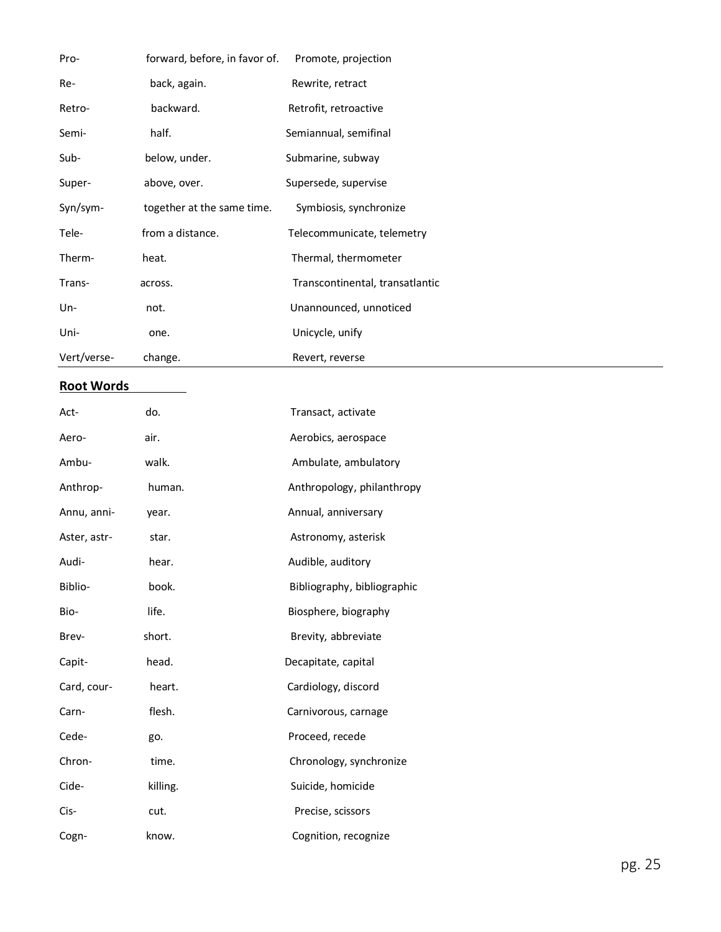| Pro-        | forward, before, in favor of. | Promote, projection             |
|-------------|-------------------------------|---------------------------------|
| Re-         | back, again.                  | Rewrite, retract                |
| Retro-      | backward.                     | Retrofit, retroactive           |
| Semi-       | half.                         | Semiannual, semifinal           |
| Sub-        | below, under.                 | Submarine, subway               |
| Super-      | above, over.                  | Supersede, supervise            |
| Syn/sym-    | together at the same time.    | Symbiosis, synchronize          |
| Tele-       | from a distance.              | Telecommunicate, telemetry      |
| Therm-      | heat.                         | Thermal, thermometer            |
| Trans-      | across.                       | Transcontinental, transatlantic |
| $Un-$       | not.                          | Unannounced, unnoticed          |
| Uni-        | one.                          | Unicycle, unify                 |
| Vert/verse- | change.                       | Revert, reverse                 |

## **Root Words**

| Act-         | do.      | Transact, activate          |
|--------------|----------|-----------------------------|
| Aero-        | air.     | Aerobics, aerospace         |
| Ambu-        | walk.    | Ambulate, ambulatory        |
| Anthrop-     | human.   | Anthropology, philanthropy  |
| Annu, anni-  | year.    | Annual, anniversary         |
| Aster, astr- | star.    | Astronomy, asterisk         |
| Audi-        | hear.    | Audible, auditory           |
| Biblio-      | book.    | Bibliography, bibliographic |
| Bio-         | life.    | Biosphere, biography        |
| Brev-        | short.   | Brevity, abbreviate         |
| Capit-       | head.    | Decapitate, capital         |
| Card, cour-  | heart.   | Cardiology, discord         |
| Carn-        | flesh.   | Carnivorous, carnage        |
| Cede-        | go.      | Proceed, recede             |
| Chron-       | time.    | Chronology, synchronize     |
| Cide-        | killing. | Suicide, homicide           |
| Cis-         | cut.     | Precise, scissors           |
| Cogn-        | know.    | Cognition, recognize        |